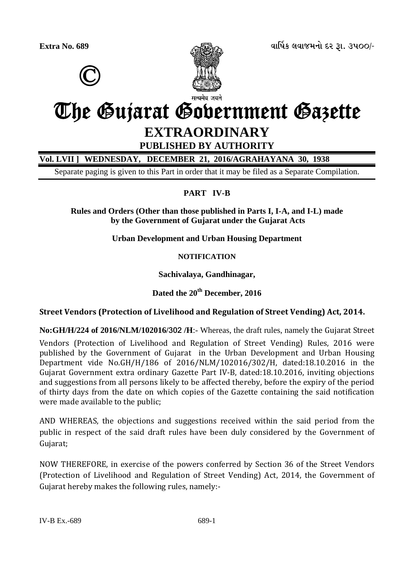©



**Extra No. 689 äëìæýÀ áäëÉÜÞù Øß wë. 3500/-**

# The Gujarat Government Gazette **EXTRAORDINARY**

# **PUBLISHED BY AUTHORITY**

**Vol. LVII ] WEDNESDAY, DECEMBER 21, 2016/AGRAHAYANA 30, 1938** 

Separate paging is given to this Part in order that it may be filed as a Separate Compilation.

## **PART IV-B**

**Rules and Orders (Other than those published in Parts I, I-A, and I-L) made by the Government of Gujarat under the Gujarat Acts** 

**Urban Development and Urban Housing Department** 

**NOTIFICATION** 

**Sachivalaya, Gandhinagar,** 

## **Dated the 20th December, 2016**

## **Street Vendors (Protection of Livelihood and Regulation of Street Vending) Act, 2014.**

**No:GH/H/224 of 2016/NLM/102016/302 /H**:- Whereas, the draft rules, namely the Gujarat Street

Vendors (Protection of Livelihood and Regulation of Street Vending) Rules, 2016 were published by the Government of Gujarat in the Urban Development and Urban Housing Department vide No.GH/H/186 of 2016/NLM/102016/302/H, dated:18.10.2016 in the Gujarat Government extra ordinary Gazette Part IV-B, dated:18.10.2016, inviting objections and suggestions from all persons likely to be affected thereby, before the expiry of the period of thirty days from the date on which copies of the Gazette containing the said notification were made available to the public;

AND WHEREAS, the objections and suggestions received within the said period from the public in respect of the said draft rules have been duly considered by the Government of Gujarat;

NOW THEREFORE, in exercise of the powers conferred by Section 36 of the Street Vendors (Protection of Livelihood and Regulation of Street Vending) Act, 2014, the Government of Gujarat hereby makes the following rules, namely:-

IV-B Ex.-689 689-1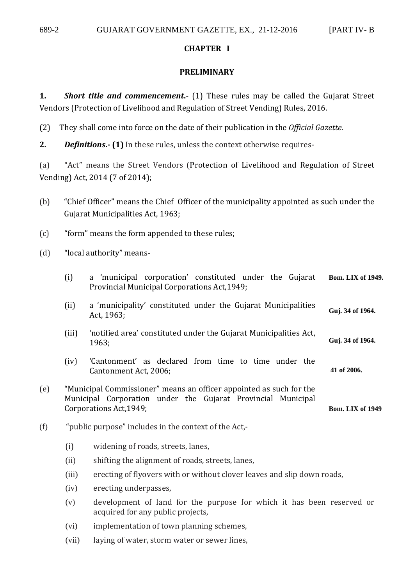## **CHAPTER I**

#### **PRELIMINARY**

**1. Short title and commencement.** (1) These rules may be called the Gujarat Street Vendors (Protection of Livelihood and Regulation of Street Vending) Rules, 2016.

(2) They shall come into force on the date of their publication in the *Official Gazette*.

**2.** *Definitions***.- (1)** In these rules, unless the context otherwise requires-

(a) "Act" means the Street Vendors (Protection of Livelihood and Regulation of Street Vending) Act, 2014 (7 of 2014);

- (b) "Chief Officer" means the Chief Officer of the municipality appointed as such under the Gujarat Municipalities Act, 1963;
- (c) "form" means the form appended to these rules;
- (d) "local authority" means-

|     | (i)                                                                                                                                                            | a 'municipal corporation' constituted under the Gujarat<br>Provincial Municipal Corporations Act, 1949; | <b>Bom. LIX of 1949.</b> |
|-----|----------------------------------------------------------------------------------------------------------------------------------------------------------------|---------------------------------------------------------------------------------------------------------|--------------------------|
|     | (ii)                                                                                                                                                           | a 'municipality' constituted under the Gujarat Municipalities<br>Act, 1963;                             | Guj. 34 of 1964.         |
|     | (iii)                                                                                                                                                          | Guj. 34 of 1964.                                                                                        |                          |
|     | (iv)                                                                                                                                                           | 'Cantonment' as declared from time to time under the<br>Cantonment Act, 2006;                           | 41 of 2006.              |
| (e) | "Municipal Commissioner" means an officer appointed as such for the<br>Municipal Corporation under the Gujarat Provincial Municipal<br>Corporations Act, 1949; | <b>Bom. LIX of 1949</b>                                                                                 |                          |
| (f) | "public purpose" includes in the context of the Act,-                                                                                                          |                                                                                                         |                          |
|     | (i)<br>(ii)                                                                                                                                                    | widening of roads, streets, lanes,<br>shifting the alignment of roads, streets, lanes,                  |                          |

- (iii) erecting of flyovers with or without clover leaves and slip down roads,
- (iv) erecting underpasses,
- (v) development of land for the purpose for which it has been reserved or acquired for any public projects,
- (vi) implementation of town planning schemes,
- (vii) laying of water, storm water or sewer lines,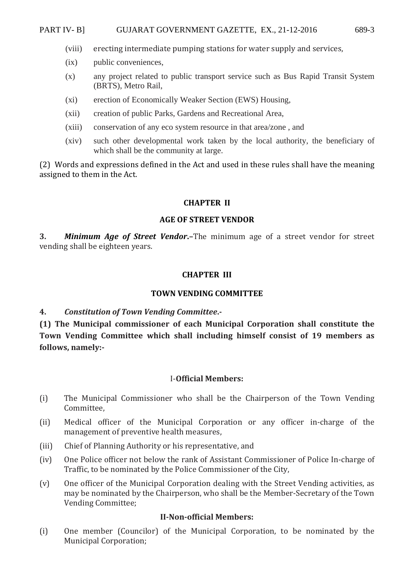#### PART IV- B] GUJARAT GOVERNMENT GAZETTE, EX., 21-12-2016 689-3

- (viii) erecting intermediate pumping stations for water supply and services,
- (ix) public conveniences,
- (x) any project related to public transport service such as Bus Rapid Transit System (BRTS), Metro Rail,
- (xi) erection of Economically Weaker Section (EWS) Housing,
- (xii) creation of public Parks, Gardens and Recreational Area,
- (xiii) conservation of any eco system resource in that area/zone , and
- (xiv) such other developmental work taken by the local authority, the beneficiary of which shall be the community at large.

(2) Words and expressions defined in the Act and used in these rules shall have the meaning assigned to them in the Act.

#### **CHAPTER II**

#### **AGE OF STREET VENDOR**

**3.** *Minimum Age of Street Vendor***.–**The minimum age of a street vendor for street vending shall be eighteen years.

#### **CHAPTER III**

#### **TOWN VENDING COMMITTEE**

## **4.** *Constitution of Town Vending Committee***.-**

**(1) The Municipal commissioner of each Municipal Corporation shall constitute the Town Vending Committee which shall including himself consist of 19 members as follows, namely:-** 

#### I-**Official Members:**

- (i) The Municipal Commissioner who shall be the Chairperson of the Town Vending Committee,
- (ii) Medical officer of the Municipal Corporation or any officer in-charge of the management of preventive health measures,
- (iii) Chief of Planning Authority or his representative, and
- (iv) One Police officer not below the rank of Assistant Commissioner of Police In-charge of Traffic, to be nominated by the Police Commissioner of the City,
- (v) One officer of the Municipal Corporation dealing with the Street Vending activities, as may be nominated by the Chairperson, who shall be the Member-Secretary of the Town Vending Committee;

#### **II-Non-official Members:**

(i) One member (Councilor) of the Municipal Corporation, to be nominated by the Municipal Corporation;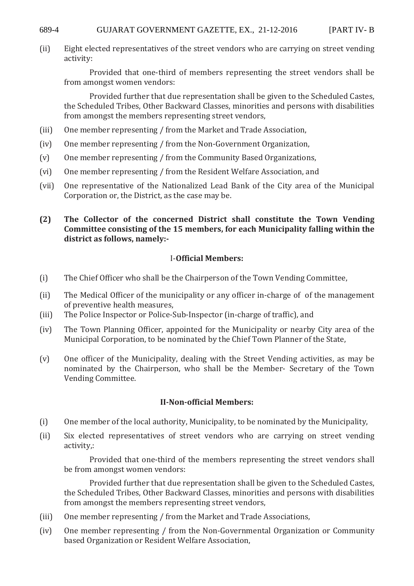#### 689-4 GUJARAT GOVERNMENT GAZETTE, EX., 21-12-2016 [PART IV- B

(ii) Eight elected representatives of the street vendors who are carrying on street vending activity:

 Provided that one-third of members representing the street vendors shall be from amongst women vendors:

 Provided further that due representation shall be given to the Scheduled Castes, the Scheduled Tribes, Other Backward Classes, minorities and persons with disabilities from amongst the members representing street vendors,

- (iii) One member representing / from the Market and Trade Association,
- (iv) One member representing / from the Non-Government Organization,
- (v) One member representing / from the Community Based Organizations,
- (vi) One member representing / from the Resident Welfare Association, and
- (vii) One representative of the Nationalized Lead Bank of the City area of the Municipal Corporation or, the District, as the case may be.

## **(2) The Collector of the concerned District shall constitute the Town Vending Committee consisting of the 15 members, for each Municipality falling within the district as follows, namely:-**

## I-**Official Members:**

- (i) The Chief Officer who shall be the Chairperson of the Town Vending Committee,
- (ii) The Medical Officer of the municipality or any officer in-charge of of the management of preventive health measures,
- (iii) The Police Inspector or Police-Sub-Inspector (in-charge of traffic), and
- (iv) The Town Planning Officer, appointed for the Municipality or nearby City area of the Municipal Corporation, to be nominated by the Chief Town Planner of the State,
- (v) One officer of the Municipality, dealing with the Street Vending activities, as may be nominated by the Chairperson, who shall be the Member- Secretary of the Town Vending Committee.

#### **II-Non-official Members:**

- (i) One member of the local authority, Municipality, to be nominated by the Municipality,
- (ii) Six elected representatives of street vendors who are carrying on street vending activity,:

 Provided that one-third of the members representing the street vendors shall be from amongst women vendors:

 Provided further that due representation shall be given to the Scheduled Castes, the Scheduled Tribes, Other Backward Classes, minorities and persons with disabilities from amongst the members representing street vendors,

- (iii) One member representing / from the Market and Trade Associations,
- (iv) One member representing / from the Non-Governmental Organization or Community based Organization or Resident Welfare Association,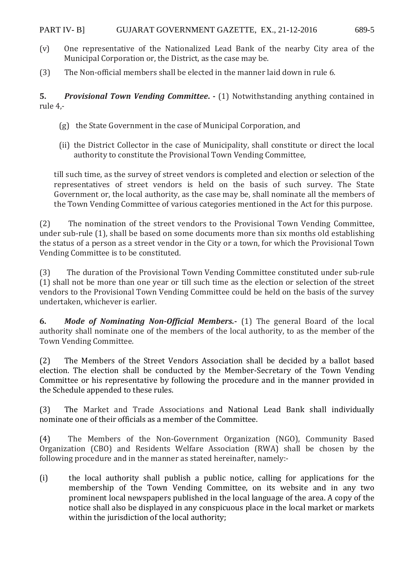- (v) One representative of the Nationalized Lead Bank of the nearby City area of the Municipal Corporation or, the District, as the case may be.
- (3) The Non-official members shall be elected in the manner laid down in rule 6.

**5.** *Provisional Town Vending Committee.* - (1) Notwithstanding anything contained in rule 4,-

- (g) the State Government in the case of Municipal Corporation, and
- (ii) the District Collector in the case of Municipality, shall constitute or direct the local authority to constitute the Provisional Town Vending Committee,

till such time, as the survey of street vendors is completed and election or selection of the representatives of street vendors is held on the basis of such survey. The State Government or, the local authority, as the case may be, shall nominate all the members of the Town Vending Committee of various categories mentioned in the Act for this purpose.

(2) The nomination of the street vendors to the Provisional Town Vending Committee, under sub-rule (1), shall be based on some documents more than six months old establishing the status of a person as a street vendor in the City or a town, for which the Provisional Town Vending Committee is to be constituted.

(3) The duration of the Provisional Town Vending Committee constituted under sub-rule (1) shall not be more than one year or till such time as the election or selection of the street vendors to the Provisional Town Vending Committee could be held on the basis of the survey undertaken, whichever is earlier.

**6.** *Mode of Nominating Non-Official Members.***-** (1) The general Board of the local authority shall nominate one of the members of the local authority, to as the member of the Town Vending Committee.

(2) The Members of the Street Vendors Association shall be decided by a ballot based election. The election shall be conducted by the Member-Secretary of the Town Vending Committee or his representative by following the procedure and in the manner provided in the Schedule appended to these rules.

(3) The Market and Trade Associations and National Lead Bank shall individually nominate one of their officials as a member of the Committee.

(4) The Members of the Non-Government Organization (NGO), Community Based Organization (CBO) and Residents Welfare Association (RWA) shall be chosen by the following procedure and in the manner as stated hereinafter, namely:-

(i) the local authority shall publish a public notice, calling for applications for the membership of the Town Vending Committee, on its website and in any two prominent local newspapers published in the local language of the area. A copy of the notice shall also be displayed in any conspicuous place in the local market or markets within the jurisdiction of the local authority;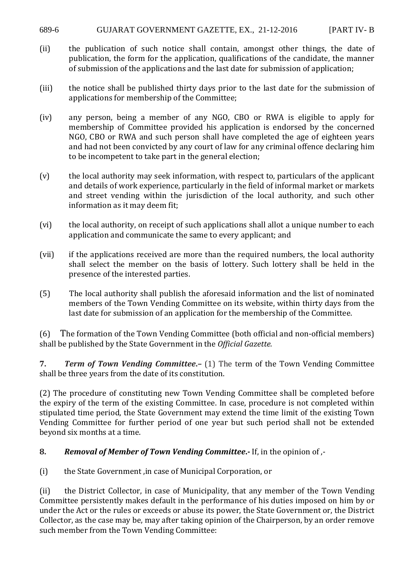#### 689-6 GUJARAT GOVERNMENT GAZETTE, EX., 21-12-2016 [PART IV- B

- (ii) the publication of such notice shall contain, amongst other things, the date of publication, the form for the application, qualifications of the candidate, the manner of submission of the applications and the last date for submission of application;
- (iii) the notice shall be published thirty days prior to the last date for the submission of applications for membership of the Committee;
- (iv) any person, being a member of any NGO, CBO or RWA is eligible to apply for membership of Committee provided his application is endorsed by the concerned NGO, CBO or RWA and such person shall have completed the age of eighteen years and had not been convicted by any court of law for any criminal offence declaring him to be incompetent to take part in the general election;
- (v) the local authority may seek information, with respect to, particulars of the applicant and details of work experience, particularly in the field of informal market or markets and street vending within the jurisdiction of the local authority, and such other information as it may deem fit;
- (vi) the local authority, on receipt of such applications shall allot a unique number to each application and communicate the same to every applicant; and
- (vii) if the applications received are more than the required numbers, the local authority shall select the member on the basis of lottery. Such lottery shall be held in the presence of the interested parties.
- (5) The local authority shall publish the aforesaid information and the list of nominated members of the Town Vending Committee on its website, within thirty days from the last date for submission of an application for the membership of the Committee.

(6) The formation of the Town Vending Committee (both official and non-official members) shall be published by the State Government in the *Official Gazette.*

**7.** *Term of Town Vending Committee***.–** (1) The term of the Town Vending Committee shall be three years from the date of its constitution.

(2) The procedure of constituting new Town Vending Committee shall be completed before the expiry of the term of the existing Committee. In case, procedure is not completed within stipulated time period, the State Government may extend the time limit of the existing Town Vending Committee for further period of one year but such period shall not be extended beyond six months at a time.

## **8.** *Removal of Member of Town Vending Committee***.-** If, in the opinion of ,-

(i) the State Government ,in case of Municipal Corporation, or

(ii) the District Collector, in case of Municipality, that any member of the Town Vending Committee persistently makes default in the performance of his duties imposed on him by or under the Act or the rules or exceeds or abuse its power, the State Government or, the District Collector, as the case may be, may after taking opinion of the Chairperson, by an order remove such member from the Town Vending Committee: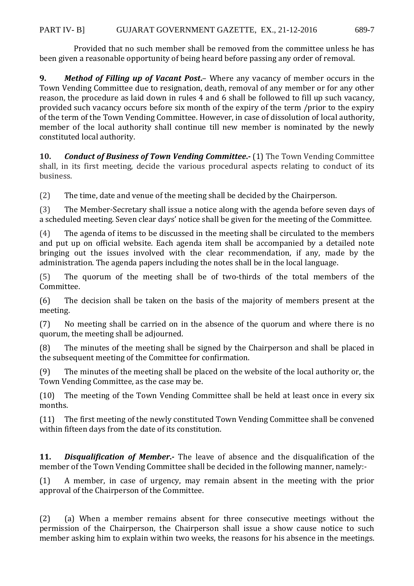Provided that no such member shall be removed from the committee unless he has been given a reasonable opportunity of being heard before passing any order of removal.

**9.** *Method of Filling up of Vacant Post***.**– Where any vacancy of member occurs in the Town Vending Committee due to resignation, death, removal of any member or for any other reason, the procedure as laid down in rules 4 and 6 shall be followed to fill up such vacancy, provided such vacancy occurs before six month of the expiry of the term /prior to the expiry of the term of the Town Vending Committee. However, in case of dissolution of local authority, member of the local authority shall continue till new member is nominated by the newly constituted local authority.

**10.** *Conduct of Business of Town Vending Committee***.-** (1) The Town Vending Committee shall, in its first meeting, decide the various procedural aspects relating to conduct of its business.

(2) The time, date and venue of the meeting shall be decided by the Chairperson.

(3) The Member-Secretary shall issue a notice along with the agenda before seven days of a scheduled meeting. Seven clear days' notice shall be given for the meeting of the Committee.

(4) The agenda of items to be discussed in the meeting shall be circulated to the members and put up on official website. Each agenda item shall be accompanied by a detailed note bringing out the issues involved with the clear recommendation, if any, made by the administration. The agenda papers including the notes shall be in the local language.

(5) The quorum of the meeting shall be of two-thirds of the total members of the Committee.

(6) The decision shall be taken on the basis of the majority of members present at the meeting.

(7) No meeting shall be carried on in the absence of the quorum and where there is no quorum, the meeting shall be adjourned.

(8) The minutes of the meeting shall be signed by the Chairperson and shall be placed in the subsequent meeting of the Committee for confirmation.

(9) The minutes of the meeting shall be placed on the website of the local authority or, the Town Vending Committee, as the case may be.

(10) The meeting of the Town Vending Committee shall be held at least once in every six months.

(11) The first meeting of the newly constituted Town Vending Committee shall be convened within fifteen days from the date of its constitution.

**11.** *Disqualification of Member***.-** The leave of absence and the disqualification of the member of the Town Vending Committee shall be decided in the following manner, namely:-

(1) A member, in case of urgency, may remain absent in the meeting with the prior approval of the Chairperson of the Committee.

(2) (a) When a member remains absent for three consecutive meetings without the permission of the Chairperson, the Chairperson shall issue a show cause notice to such member asking him to explain within two weeks, the reasons for his absence in the meetings.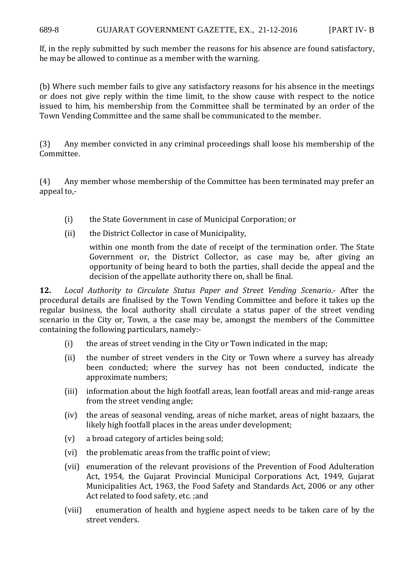If, in the reply submitted by such member the reasons for his absence are found satisfactory, he may be allowed to continue as a member with the warning.

(b) Where such member fails to give any satisfactory reasons for his absence in the meetings or does not give reply within the time limit, to the show cause with respect to the notice issued to him, his membership from the Committee shall be terminated by an order of the Town Vending Committee and the same shall be communicated to the member.

(3) Any member convicted in any criminal proceedings shall loose his membership of the Committee.

(4) Any member whose membership of the Committee has been terminated may prefer an appeal to,-

- (i) the State Government in case of Municipal Corporation; or
- (ii) the District Collector in case of Municipality,

within one month from the date of receipt of the termination order. The State Government or, the District Collector, as case may be, after giving an opportunity of being heard to both the parties, shall decide the appeal and the decision of the appellate authority there on, shall be final.

**12.** *Local Authority to Circulate Status Paper and Street Vending Scenario*.- After the procedural details are finalised by the Town Vending Committee and before it takes up the regular business, the local authority shall circulate a status paper of the street vending scenario in the City or, Town, a the case may be, amongst the members of the Committee containing the following particulars, namely:-

- (i) the areas of street vending in the City or Town indicated in the map;
- (ii) the number of street venders in the City or Town where a survey has already been conducted; where the survey has not been conducted, indicate the approximate numbers;
- (iii) information about the high footfall areas, lean footfall areas and mid-range areas from the street vending angle;
- (iv) the areas of seasonal vending, areas of niche market, areas of night bazaars, the likely high footfall places in the areas under development;
- (v) a broad category of articles being sold;
- (vi) the problematic areas from the traffic point of view;
- (vii) enumeration of the relevant provisions of the Prevention of Food Adulteration Act, 1954, the Gujarat Provincial Municipal Corporations Act, 1949, Gujarat Municipalities Act, 1963, the Food Safety and Standards Act, 2006 or any other Act related to food safety, etc. ;and
- (viii) enumeration of health and hygiene aspect needs to be taken care of by the street venders.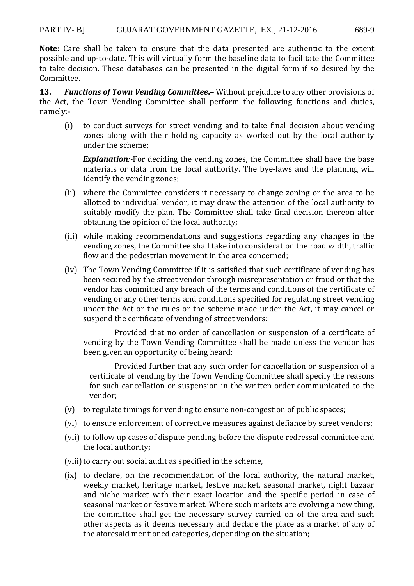**Note:** Care shall be taken to ensure that the data presented are authentic to the extent possible and up-to-date. This will virtually form the baseline data to facilitate the Committee to take decision. These databases can be presented in the digital form if so desired by the Committee.

**13.** *Functions of Town Vending Committee***.–** Without prejudice to any other provisions of the Act, the Town Vending Committee shall perform the following functions and duties, namely:-

(i) to conduct surveys for street vending and to take final decision about vending zones along with their holding capacity as worked out by the local authority under the scheme;

*Explanation:*-For deciding the vending zones, the Committee shall have the base materials or data from the local authority. The bye-laws and the planning will identify the vending zones;

- (ii) where the Committee considers it necessary to change zoning or the area to be allotted to individual vendor, it may draw the attention of the local authority to suitably modify the plan. The Committee shall take final decision thereon after obtaining the opinion of the local authority;
- (iii) while making recommendations and suggestions regarding any changes in the vending zones, the Committee shall take into consideration the road width, traffic flow and the pedestrian movement in the area concerned;
- (iv) The Town Vending Committee if it is satisfied that such certificate of vending has been secured by the street vendor through misrepresentation or fraud or that the vendor has committed any breach of the terms and conditions of the certificate of vending or any other terms and conditions specified for regulating street vending under the Act or the rules or the scheme made under the Act, it may cancel or suspend the certificate of vending of street vendors:

Provided that no order of cancellation or suspension of a certificate of vending by the Town Vending Committee shall be made unless the vendor has been given an opportunity of being heard:

Provided further that any such order for cancellation or suspension of a certificate of vending by the Town Vending Committee shall specify the reasons for such cancellation or suspension in the written order communicated to the vendor;

- (v) to regulate timings for vending to ensure non-congestion of public spaces;
- (vi) to ensure enforcement of corrective measures against defiance by street vendors;
- (vii) to follow up cases of dispute pending before the dispute redressal committee and the local authority;
- (viii) to carry out social audit as specified in the scheme,
- (ix) to declare, on the recommendation of the local authority, the natural market, weekly market, heritage market, festive market, seasonal market, night bazaar and niche market with their exact location and the specific period in case of seasonal market or festive market. Where such markets are evolving a new thing, the committee shall get the necessary survey carried on of the area and such other aspects as it deems necessary and declare the place as a market of any of the aforesaid mentioned categories, depending on the situation;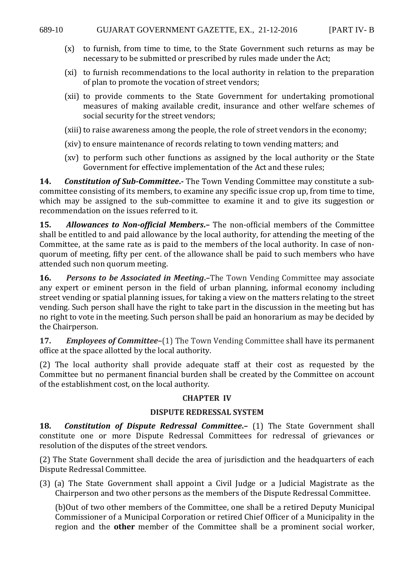- (x) to furnish, from time to time, to the State Government such returns as may be necessary to be submitted or prescribed by rules made under the Act;
- (xi) to furnish recommendations to the local authority in relation to the preparation of plan to promote the vocation of street vendors;
- (xii) to provide comments to the State Government for undertaking promotional measures of making available credit, insurance and other welfare schemes of social security for the street vendors;
- (xiii) to raise awareness among the people, the role of street vendors in the economy;
- (xiv) to ensure maintenance of records relating to town vending matters; and
- (xv) to perform such other functions as assigned by the local authority or the State Government for effective implementation of the Act and these rules;

**14.** *Constitution of Sub-Committee*. The Town Vending Committee may constitute a subcommittee consisting of its members, to examine any specific issue crop up, from time to time, which may be assigned to the sub-committee to examine it and to give its suggestion or recommendation on the issues referred to it.

**15.** *Allowances to Non-official Members***.–** The non-official members of the Committee shall be entitled to and paid allowance by the local authority, for attending the meeting of the Committee, at the same rate as is paid to the members of the local authority. In case of nonquorum of meeting, fifty per cent. of the allowance shall be paid to such members who have attended such non quorum meeting.

**16.** *Persons to be Associated in Meeting***.–**The Town Vending Committee may associate any expert or eminent person in the field of urban planning, informal economy including street vending or spatial planning issues, for taking a view on the matters relating to the street vending. Such person shall have the right to take part in the discussion in the meeting but has no right to vote in the meeting. Such person shall be paid an honorarium as may be decided by the Chairperson.

**17.** *Employees of Committee***–**(1) The Town Vending Committee shall have its permanent office at the space allotted by the local authority.

(2) The local authority shall provide adequate staff at their cost as requested by the Committee but no permanent financial burden shall be created by the Committee on account of the establishment cost, on the local authority.

#### **CHAPTER IV**

#### **DISPUTE REDRESSAL SYSTEM**

**18.** *Constitution of Dispute Redressal Committee***.–** (1) The State Government shall constitute one or more Dispute Redressal Committees for redressal of grievances or resolution of the disputes of the street vendors.

(2) The State Government shall decide the area of jurisdiction and the headquarters of each Dispute Redressal Committee.

(3) (a) The State Government shall appoint a Civil Judge or a Judicial Magistrate as the Chairperson and two other persons as the members of the Dispute Redressal Committee.

 (b)Out of two other members of the Committee, one shall be a retired Deputy Municipal Commissioner of a Municipal Corporation or retired Chief Officer of a Municipality in the region and the **other** member of the Committee shall be a prominent social worker,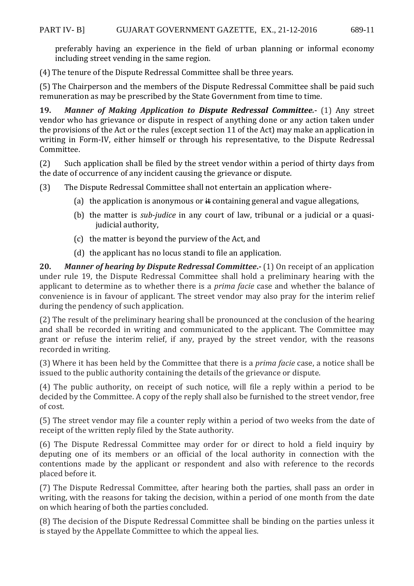preferably having an experience in the field of urban planning or informal economy including street vending in the same region.

(4) The tenure of the Dispute Redressal Committee shall be three years.

(5) The Chairperson and the members of the Dispute Redressal Committee shall be paid such remuneration as may be prescribed by the State Government from time to time.

**19.** *Manner of Making Application to Dispute Redressal Committee.***-** (1) Any street vendor who has grievance or dispute in respect of anything done or any action taken under the provisions of the Act or the rules (except section 11 of the Act) may make an application in writing in Form-IV, either himself or through his representative, to the Dispute Redressal Committee.

(2) Such application shall be filed by the street vendor within a period of thirty days from the date of occurrence of any incident causing the grievance or dispute.

(3) The Dispute Redressal Committee shall not entertain an application where-

- (a) the application is anonymous or  $\ddot{\textbf{a}}$  containing general and vague allegations,
- (b) the matter is *sub-judice* in any court of law, tribunal or a judicial or a quasijudicial authority,
- (c) the matter is beyond the purview of the Act, and
- (d) the applicant has no locus standi to file an application.

**20.** *Manner of hearing by Dispute Redressal Committee***.-** (1) On receipt of an application under rule 19, the Dispute Redressal Committee shall hold a preliminary hearing with the applicant to determine as to whether there is a *prima facie* case and whether the balance of convenience is in favour of applicant. The street vendor may also pray for the interim relief during the pendency of such application.

(2) The result of the preliminary hearing shall be pronounced at the conclusion of the hearing and shall be recorded in writing and communicated to the applicant. The Committee may grant or refuse the interim relief, if any, prayed by the street vendor, with the reasons recorded in writing.

(3) Where it has been held by the Committee that there is a *prima facie* case, a notice shall be issued to the public authority containing the details of the grievance or dispute.

(4) The public authority, on receipt of such notice, will file a reply within a period to be decided by the Committee. A copy of the reply shall also be furnished to the street vendor, free of cost.

(5) The street vendor may file a counter reply within a period of two weeks from the date of receipt of the written reply filed by the State authority.

(6) The Dispute Redressal Committee may order for or direct to hold a field inquiry by deputing one of its members or an official of the local authority in connection with the contentions made by the applicant or respondent and also with reference to the records placed before it.

(7) The Dispute Redressal Committee, after hearing both the parties, shall pass an order in writing, with the reasons for taking the decision, within a period of one month from the date on which hearing of both the parties concluded.

(8) The decision of the Dispute Redressal Committee shall be binding on the parties unless it is stayed by the Appellate Committee to which the appeal lies.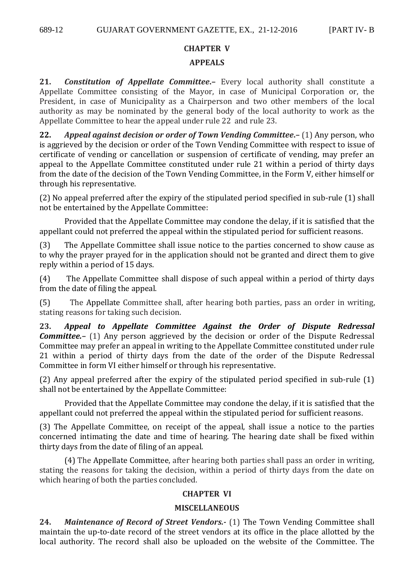# **CHAPTER V APPEALS**

**21.** *Constitution of Appellate Committee***.–** Every local authority shall constitute a Appellate Committee consisting of the Mayor, in case of Municipal Corporation or, the President, in case of Municipality as a Chairperson and two other members of the local authority as may be nominated by the general body of the local authority to work as the Appellate Committee to hear the appeal under rule 22 and rule 23.

**22.** *Appeal against decision or order of Town Vending Committee***.–** (1) Any person, who is aggrieved by the decision or order of the Town Vending Committee with respect to issue of certificate of vending or cancellation or suspension of certificate of vending, may prefer an appeal to the Appellate Committee constituted under rule 21 within a period of thirty days from the date of the decision of the Town Vending Committee, in the Form V, either himself or through his representative.

(2) No appeal preferred after the expiry of the stipulated period specified in sub-rule (1) shall not be entertained by the Appellate Committee:

Provided that the Appellate Committee may condone the delay, if it is satisfied that the appellant could not preferred the appeal within the stipulated period for sufficient reasons.

(3) The Appellate Committee shall issue notice to the parties concerned to show cause as to why the prayer prayed for in the application should not be granted and direct them to give reply within a period of 15 days.

(4) The Appellate Committee shall dispose of such appeal within a period of thirty days from the date of filing the appeal.

(5) The Appellate Committee shall, after hearing both parties, pass an order in writing, stating reasons for taking such decision.

**23.** *Appeal to Appellate Committee Against the Order of Dispute Redressal Committee.*– (1) Any person aggrieved by the decision or order of the Dispute Redressal Committee may prefer an appeal in writing to the Appellate Committee constituted under rule 21 within a period of thirty days from the date of the order of the Dispute Redressal Committee in form VI either himself or through his representative.

(2) Any appeal preferred after the expiry of the stipulated period specified in sub-rule (1) shall not be entertained by the Appellate Committee:

Provided that the Appellate Committee may condone the delay, if it is satisfied that the appellant could not preferred the appeal within the stipulated period for sufficient reasons.

(3) The Appellate Committee, on receipt of the appeal, shall issue a notice to the parties concerned intimating the date and time of hearing. The hearing date shall be fixed within thirty days from the date of filing of an appeal.

(4) The Appellate Committee, after hearing both parties shall pass an order in writing, stating the reasons for taking the decision, within a period of thirty days from the date on which hearing of both the parties concluded.

## **CHAPTER VI**

## **MISCELLANEOUS**

**24.** *Maintenance of Record of Street Vendors.-* (1) The Town Vending Committee shall maintain the up-to-date record of the street vendors at its office in the place allotted by the local authority. The record shall also be uploaded on the website of the Committee. The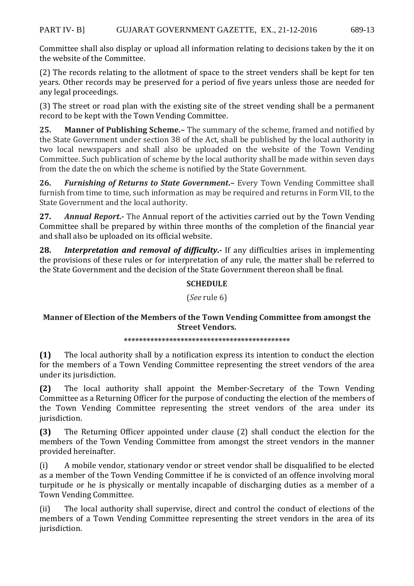#### PART IV- B] GUJARAT GOVERNMENT GAZETTE, EX., 21-12-2016 689-13

Committee shall also display or upload all information relating to decisions taken by the it on the website of the Committee.

(2) The records relating to the allotment of space to the street venders shall be kept for ten years. Other records may be preserved for a period of five years unless those are needed for any legal proceedings.

(3) The street or road plan with the existing site of the street vending shall be a permanent record to be kept with the Town Vending Committee.

**25. Manner of Publishing Scheme.–** The summary of the scheme, framed and notified by the State Government under section 38 of the Act, shall be published by the local authority in two local newspapers and shall also be uploaded on the website of the Town Vending Committee. Such publication of scheme by the local authority shall be made within seven days from the date the on which the scheme is notified by the State Government.

**26.** *Furnishing of Returns to State Government***.–** Every Town Vending Committee shall furnish from time to time, such information as may be required and returns in Form VII, to the State Government and the local authority.

**27.** *Annual Report***.-** The Annual report of the activities carried out by the Town Vending Committee shall be prepared by within three months of the completion of the financial year and shall also be uploaded on its official website.

**28.** *Interpretation and removal of difficulty***.-** If any difficulties arises in implementing the provisions of these rules or for interpretation of any rule, the matter shall be referred to the State Government and the decision of the State Government thereon shall be final.

## **SCHEDULE**

(*See* rule 6)

## **Manner of Election of the Members of the Town Vending Committee from amongst the Street Vendors.**

**\*\*\*\*\*\*\*\*\*\*\*\*\*\*\*\*\*\*\*\*\*\*\*\*\*\*\*\*\*\*\*\*\*\*\*\*\*\*\*\*\*\*\*\*** 

**(1)** The local authority shall by a notification express its intention to conduct the election for the members of a Town Vending Committee representing the street vendors of the area under its jurisdiction.

**(2)** The local authority shall appoint the Member-Secretary of the Town Vending Committee as a Returning Officer for the purpose of conducting the election of the members of the Town Vending Committee representing the street vendors of the area under its jurisdiction.

**(3)** The Returning Officer appointed under clause (2) shall conduct the election for the members of the Town Vending Committee from amongst the street vendors in the manner provided hereinafter.

(i) A mobile vendor, stationary vendor or street vendor shall be disqualified to be elected as a member of the Town Vending Committee if he is convicted of an offence involving moral turpitude or he is physically or mentally incapable of discharging duties as a member of a Town Vending Committee.

(ii) The local authority shall supervise, direct and control the conduct of elections of the members of a Town Vending Committee representing the street vendors in the area of its jurisdiction.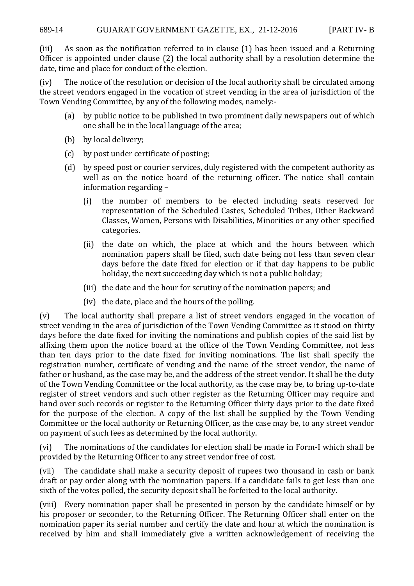(iii) As soon as the notification referred to in clause (1) has been issued and a Returning Officer is appointed under clause (2) the local authority shall by a resolution determine the date, time and place for conduct of the election.

(iv) The notice of the resolution or decision of the local authority shall be circulated among the street vendors engaged in the vocation of street vending in the area of jurisdiction of the Town Vending Committee, by any of the following modes, namely:-

- (a) by public notice to be published in two prominent daily newspapers out of which one shall be in the local language of the area;
- (b) by local delivery;
- (c) by post under certificate of posting;
- (d) by speed post or courier services, duly registered with the competent authority as well as on the notice board of the returning officer. The notice shall contain information regarding –
	- (i) the number of members to be elected including seats reserved for representation of the Scheduled Castes, Scheduled Tribes, Other Backward Classes, Women, Persons with Disabilities, Minorities or any other specified categories.
	- (ii) the date on which, the place at which and the hours between which nomination papers shall be filed, such date being not less than seven clear days before the date fixed for election or if that day happens to be public holiday, the next succeeding day which is not a public holiday;
	- (iii) the date and the hour for scrutiny of the nomination papers; and
	- (iv) the date, place and the hours of the polling.

(v) The local authority shall prepare a list of street vendors engaged in the vocation of street vending in the area of jurisdiction of the Town Vending Committee as it stood on thirty days before the date fixed for inviting the nominations and publish copies of the said list by affixing them upon the notice board at the office of the Town Vending Committee, not less than ten days prior to the date fixed for inviting nominations. The list shall specify the registration number, certificate of vending and the name of the street vendor, the name of father or husband, as the case may be, and the address of the street vendor. It shall be the duty of the Town Vending Committee or the local authority, as the case may be, to bring up-to-date register of street vendors and such other register as the Returning Officer may require and hand over such records or register to the Returning Officer thirty days prior to the date fixed for the purpose of the election. A copy of the list shall be supplied by the Town Vending Committee or the local authority or Returning Officer, as the case may be, to any street vendor on payment of such fees as determined by the local authority.

(vi) The nominations of the candidates for election shall be made in Form-I which shall be provided by the Returning Officer to any street vendor free of cost.

(vii) The candidate shall make a security deposit of rupees two thousand in cash or bank draft or pay order along with the nomination papers. If a candidate fails to get less than one sixth of the votes polled, the security deposit shall be forfeited to the local authority.

(viii) Every nomination paper shall be presented in person by the candidate himself or by his proposer or seconder, to the Returning Officer. The Returning Officer shall enter on the nomination paper its serial number and certify the date and hour at which the nomination is received by him and shall immediately give a written acknowledgement of receiving the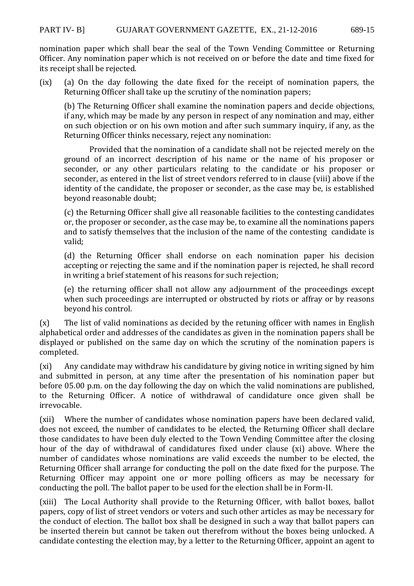nomination paper which shall bear the seal of the Town Vending Committee or Returning Officer. Any nomination paper which is not received on or before the date and time fixed for its receipt shall be rejected.

(ix) (a) On the day following the date fixed for the receipt of nomination papers, the Returning Officer shall take up the scrutiny of the nomination papers;

(b) The Returning Officer shall examine the nomination papers and decide objections, if any, which may be made by any person in respect of any nomination and may, either on such objection or on his own motion and after such summary inquiry, if any, as the Returning Officer thinks necessary, reject any nomination:

 Provided that the nomination of a candidate shall not be rejected merely on the ground of an incorrect description of his name or the name of his proposer or seconder, or any other particulars relating to the candidate or his proposer or seconder, as entered in the list of street vendors referred to in clause (viii) above if the identity of the candidate, the proposer or seconder, as the case may be, is established beyond reasonable doubt;

(c) the Returning Officer shall give all reasonable facilities to the contesting candidates or, the proposer or seconder, as the case may be, to examine all the nominations papers and to satisfy themselves that the inclusion of the name of the contesting candidate is valid;

(d) the Returning Officer shall endorse on each nomination paper his decision accepting or rejecting the same and if the nomination paper is rejected, he shall record in writing a brief statement of his reasons for such rejection;

(e) the returning officer shall not allow any adjournment of the proceedings except when such proceedings are interrupted or obstructed by riots or affray or by reasons beyond his control.

(x) The list of valid nominations as decided by the retuning officer with names in English alphabetical order and addresses of the candidates as given in the nomination papers shall be displayed or published on the same day on which the scrutiny of the nomination papers is completed.

(xi) Any candidate may withdraw his candidature by giving notice in writing signed by him and submitted in person, at any time after the presentation of his nomination paper but before 05.00 p.m. on the day following the day on which the valid nominations are published, to the Returning Officer. A notice of withdrawal of candidature once given shall be irrevocable.

(xii) Where the number of candidates whose nomination papers have been declared valid, does not exceed, the number of candidates to be elected, the Returning Officer shall declare those candidates to have been duly elected to the Town Vending Committee after the closing hour of the day of withdrawal of candidatures fixed under clause (xi) above. Where the number of candidates whose nominations are valid exceeds the number to be elected, the Returning Officer shall arrange for conducting the poll on the date fixed for the purpose. The Returning Officer may appoint one or more polling officers as may be necessary for conducting the poll. The ballot paper to be used for the election shall be in Form-II.

(xiii) The Local Authority shall provide to the Returning Officer, with ballot boxes, ballot papers, copy of list of street vendors or voters and such other articles as may be necessary for the conduct of election. The ballot box shall be designed in such a way that ballot papers can be inserted therein but cannot be taken out therefrom without the boxes being unlocked. A candidate contesting the election may, by a letter to the Returning Officer, appoint an agent to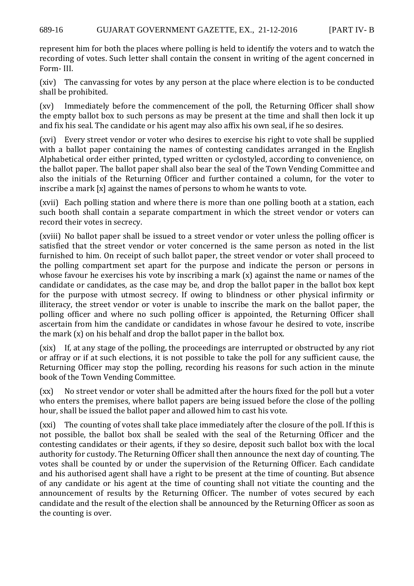represent him for both the places where polling is held to identify the voters and to watch the recording of votes. Such letter shall contain the consent in writing of the agent concerned in Form- III.

(xiv) The canvassing for votes by any person at the place where election is to be conducted shall be prohibited.

(xv) Immediately before the commencement of the poll, the Returning Officer shall show the empty ballot box to such persons as may be present at the time and shall then lock it up and fix his seal. The candidate or his agent may also affix his own seal, if he so desires.

(xvi) Every street vendor or voter who desires to exercise his right to vote shall be supplied with a ballot paper containing the names of contesting candidates arranged in the English Alphabetical order either printed, typed written or cyclostyled, according to convenience, on the ballot paper. The ballot paper shall also bear the seal of the Town Vending Committee and also the initials of the Returning Officer and further contained a column, for the voter to inscribe a mark [x] against the names of persons to whom he wants to vote.

(xvii) Each polling station and where there is more than one polling booth at a station, each such booth shall contain a separate compartment in which the street vendor or voters can record their votes in secrecy.

(xviii) No ballot paper shall be issued to a street vendor or voter unless the polling officer is satisfied that the street vendor or voter concerned is the same person as noted in the list furnished to him. On receipt of such ballot paper, the street vendor or voter shall proceed to the polling compartment set apart for the purpose and indicate the person or persons in whose favour he exercises his vote by inscribing a mark  $(x)$  against the name or names of the candidate or candidates, as the case may be, and drop the ballot paper in the ballot box kept for the purpose with utmost secrecy. If owing to blindness or other physical infirmity or illiteracy, the street vendor or voter is unable to inscribe the mark on the ballot paper, the polling officer and where no such polling officer is appointed, the Returning Officer shall ascertain from him the candidate or candidates in whose favour he desired to vote, inscribe the mark (x) on his behalf and drop the ballot paper in the ballot box.

(xix) If, at any stage of the polling, the proceedings are interrupted or obstructed by any riot or affray or if at such elections, it is not possible to take the poll for any sufficient cause, the Returning Officer may stop the polling, recording his reasons for such action in the minute book of the Town Vending Committee.

(xx) No street vendor or voter shall be admitted after the hours fixed for the poll but a voter who enters the premises, where ballot papers are being issued before the close of the polling hour, shall be issued the ballot paper and allowed him to cast his vote.

(xxi) The counting of votes shall take place immediately after the closure of the poll. If this is not possible, the ballot box shall be sealed with the seal of the Returning Officer and the contesting candidates or their agents, if they so desire, deposit such ballot box with the local authority for custody. The Returning Officer shall then announce the next day of counting. The votes shall be counted by or under the supervision of the Returning Officer. Each candidate and his authorised agent shall have a right to be present at the time of counting. But absence of any candidate or his agent at the time of counting shall not vitiate the counting and the announcement of results by the Returning Officer. The number of votes secured by each candidate and the result of the election shall be announced by the Returning Officer as soon as the counting is over.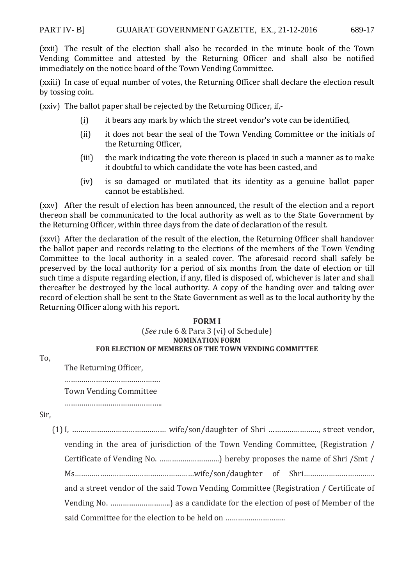(xxii) The result of the election shall also be recorded in the minute book of the Town Vending Committee and attested by the Returning Officer and shall also be notified immediately on the notice board of the Town Vending Committee.

(xxiii) In case of equal number of votes, the Returning Officer shall declare the election result by tossing coin.

(xxiv) The ballot paper shall be rejected by the Returning Officer, if,-

- (i) it bears any mark by which the street vendor's vote can be identified,
- (ii) it does not bear the seal of the Town Vending Committee or the initials of the Returning Officer,
- (iii) the mark indicating the vote thereon is placed in such a manner as to make it doubtful to which candidate the vote has been casted, and
- (iv) is so damaged or mutilated that its identity as a genuine ballot paper cannot be established.

(xxv) After the result of election has been announced, the result of the election and a report thereon shall be communicated to the local authority as well as to the State Government by the Returning Officer, within three days from the date of declaration of the result.

(xxvi) After the declaration of the result of the election, the Returning Officer shall handover the ballot paper and records relating to the elections of the members of the Town Vending Committee to the local authority in a sealed cover. The aforesaid record shall safely be preserved by the local authority for a period of six months from the date of election or till such time a dispute regarding election, if any, filed is disposed of, whichever is later and shall thereafter be destroyed by the local authority. A copy of the handing over and taking over record of election shall be sent to the State Government as well as to the local authority by the Returning Officer along with his report.

#### **FORM I**  (*See* rule 6 & Para 3 (vi) of Schedule) **NOMINATION FORM FOR ELECTION OF MEMBERS OF THE TOWN VENDING COMMITTEE**

To,

The Returning Officer,

……………………………………….

 Town Vending Committee ………………………………………..

Sir,

(1)I, ……………………………………… wife/son/daughter of Shri ……………………, street vendor,

vending in the area of jurisdiction of the Town Vending Committee, (Registration / Certificate of Vending No. ………………………..) hereby proposes the name of Shri /Smt /

Ms…………………………………………………wife/son/daughter of Shri…………………………….

and a street vendor of the said Town Vending Committee (Registration / Certificate of

Vending No. ………………………..) as a candidate for the election of post of Member of the

said Committee for the election to be held on ……………………………………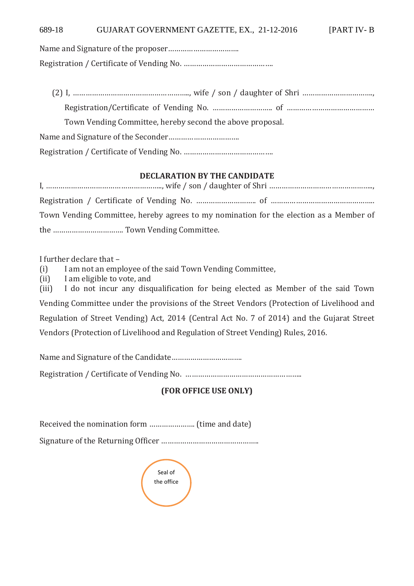Name and Signature of the proposer…………………………….

Registration / Certificate of Vending No. …………………………………….

| Town Vending Committee, hereby second the above proposal. |
|-----------------------------------------------------------|
|                                                           |
|                                                           |

## **DECLARATION BY THE CANDIDATE**

| Town Vending Committee, hereby agrees to my nomination for the election as a Member of |
|----------------------------------------------------------------------------------------|
|                                                                                        |

I further declare that –

(i) I am not an employee of the said Town Vending Committee,

(ii) I am eligible to vote, and

(iii) I do not incur any disqualification for being elected as Member of the said Town Vending Committee under the provisions of the Street Vendors (Protection of Livelihood and Regulation of Street Vending) Act, 2014 (Central Act No. 7 of 2014) and the Gujarat Street Vendors (Protection of Livelihood and Regulation of Street Vending) Rules, 2016.

Name and Signature of the Candidate…………………………….

Registration / Certificate of Vending No. ………………………………………………..

# **(FOR OFFICE USE ONLY)**

Received the nomination form …………………. (time and date)

Signature of the Returning Officer ………………………………………..

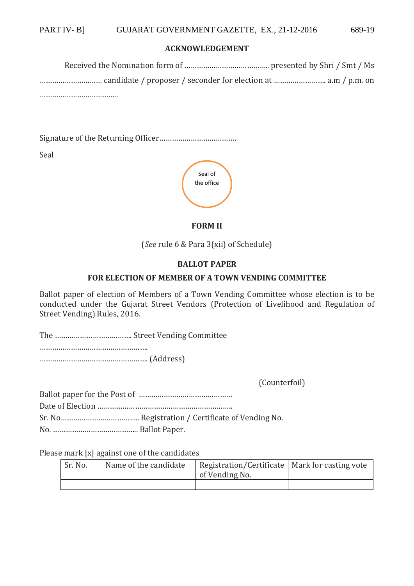#### **ACKNOWLEDGEMENT**

Received the Nomination form of ………………………………….. presented by Shri / Smt / Ms ………………………… candidate / proposer / seconder for election at ……………………. a.m / p.m. on …………………………………

Signature of the Returning Officer……………………………….

Seal



#### **FORM II**

(*See* rule 6 & Para 3(xii) of Schedule)

## **BALLOT PAPER**

#### **FOR ELECTION OF MEMBER OF A TOWN VENDING COMMITTEE**

Ballot paper of election of Members of a Town Vending Committee whose election is to be conducted under the Gujarat Street Vendors (Protection of Livelihood and Regulation of Street Vending) Rules, 2016.

The ………………………………. Street Vending Committee

……………………………………………. ……………………………………………. (Address)

(Counterfoil)

Ballot paper for the Post of ……………………………………… Date of Election ……………………………………………………….. Sr. No……………………………….. Registration / Certificate of Vending No. No. ………………………………….. Ballot Paper.

Please mark [x] against one of the candidates

| Sr. No. | Name of the candidate | Registration/Certificate   Mark for casting vote<br>of Vending No. |  |  |
|---------|-----------------------|--------------------------------------------------------------------|--|--|
|         |                       |                                                                    |  |  |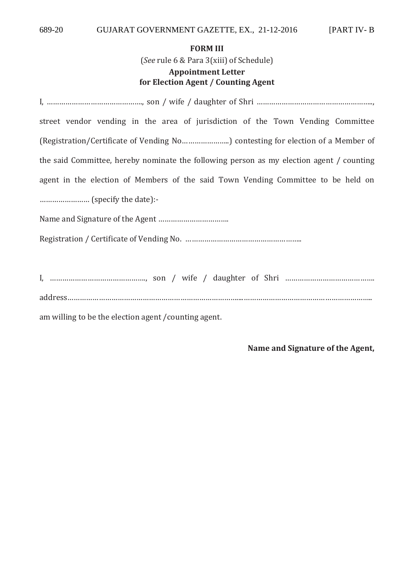## **FORM III**

(*See* rule 6 & Para 3(xiii) of Schedule)

# **Appointment Letter for Election Agent / Counting Agent**

| street vendor vending in the area of jurisdiction of the Town Vending Committee          |
|------------------------------------------------------------------------------------------|
| (Registration/Certificate of Vending No) contesting for election of a Member of          |
| the said Committee, hereby nominate the following person as my election agent / counting |
| agent in the election of Members of the said Town Vending Committee to be held on        |
|                                                                                          |
|                                                                                          |
|                                                                                          |
|                                                                                          |
|                                                                                          |

address………………………………………………………………………....……………………………………………………..

am willing to be the election agent /counting agent.

**Name and Signature of the Agent,**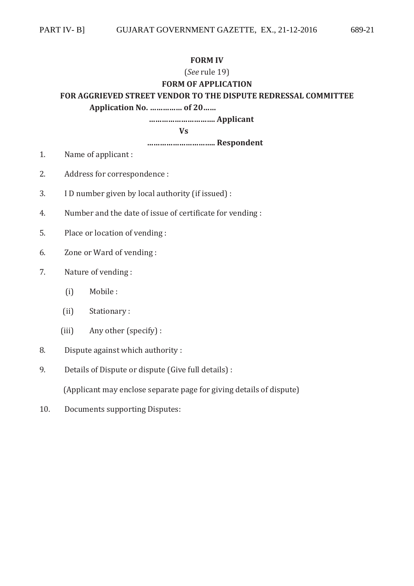#### **FORM IV**

## (*See* rule 19)

# **FORM OF APPLICATION**

## **FOR AGGRIEVED STREET VENDOR TO THE DISPUTE REDRESSAL COMMITTEE**

 **Application No. …………… of 20……** 

 **…………………………. Applicant** 

 **Vs** 

 **………………………….. Respondent** 

- 1. Name of applicant :
- 2. Address for correspondence :
- 3. I D number given by local authority (if issued) :
- 4. Number and the date of issue of certificate for vending :
- 5. Place or location of vending :
- 6. Zone or Ward of vending :
- 7. Nature of vending :
	- (i) Mobile :
	- (ii) Stationary :
	- (iii) Any other (specify) :
- 8. Dispute against which authority :
- 9. Details of Dispute or dispute (Give full details) :

(Applicant may enclose separate page for giving details of dispute)

10. Documents supporting Disputes: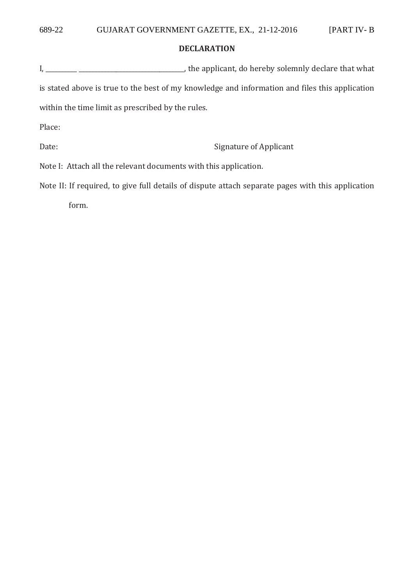## **DECLARATION**

| I,                                                                                             | the applicant, do hereby solemnly declare that what                                               |  |  |
|------------------------------------------------------------------------------------------------|---------------------------------------------------------------------------------------------------|--|--|
| is stated above is true to the best of my knowledge and information and files this application |                                                                                                   |  |  |
| within the time limit as prescribed by the rules.                                              |                                                                                                   |  |  |
| Place:                                                                                         |                                                                                                   |  |  |
| Date:                                                                                          | Signature of Applicant                                                                            |  |  |
| Note I: Attach all the relevant documents with this application.                               |                                                                                                   |  |  |
|                                                                                                | Note II. If usawiyed to give full details of digmute attack conquete negas with this annivertion. |  |  |

Note II: If required, to give full details of dispute attach separate pages with this application form.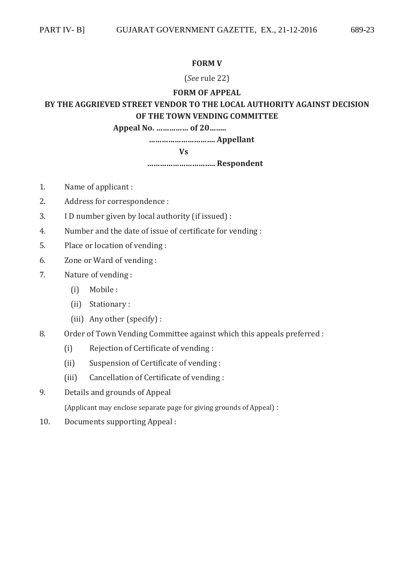## **FORM V**

## (*See* rule 22)

## **FORM OF APPEAL**

# **BY THE AGGRIEVED STREET VENDOR TO THE LOCAL AUTHORITY AGAINST DECISION OF THE TOWN VENDING COMMITTEE**

 **Appeal No. …………… of 20……..** 

 **…………………………. Appellant** 

 **Vs** 

 **………………………….. Respondent** 

- 1. Name of applicant :
- 2. Address for correspondence :
- 3. I D number given by local authority (if issued) :
- 4. Number and the date of issue of certificate for vending :
- 5. Place or location of vending :
- 6. Zone or Ward of vending :
- 7. Nature of vending :
	- (i) Mobile :
	- (ii) Stationary :
	- (iii) Any other (specify) :
- 8. Order of Town Vending Committee against which this appeals preferred :
	- (i) Rejection of Certificate of vending :
	- (ii) Suspension of Certificate of vending :
	- (iii) Cancellation of Certificate of vending :
- 9. Details and grounds of Appeal

(Applicant may enclose separate page for giving grounds of Appeal) :

10. Documents supporting Appeal :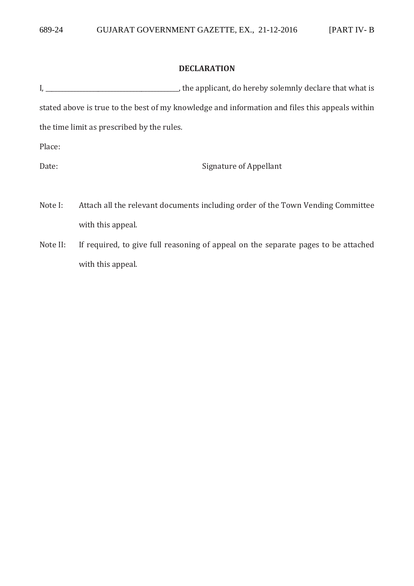## **DECLARATION**

|                                            | , the applicant, do hereby solemnly declare that what is                                       |
|--------------------------------------------|------------------------------------------------------------------------------------------------|
|                                            | stated above is true to the best of my knowledge and information and files this appeals within |
| the time limit as prescribed by the rules. |                                                                                                |
| Place:                                     |                                                                                                |
| Date:                                      | Signature of Appellant                                                                         |

- Note I: Attach all the relevant documents including order of the Town Vending Committee with this appeal.
- Note II: If required, to give full reasoning of appeal on the separate pages to be attached with this appeal.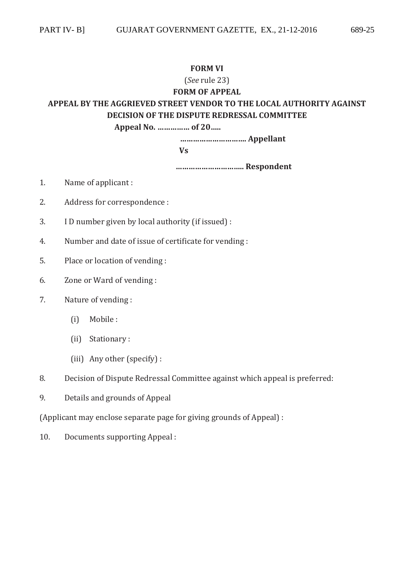## **FORM VI**

# (*See* rule 23) **FORM OF APPEAL APPEAL BY THE AGGRIEVED STREET VENDOR TO THE LOCAL AUTHORITY AGAINST DECISION OF THE DISPUTE REDRESSAL COMMITTEE Appeal No. …………… of 20…..**

 **…………………………. Appellant** 

 **Vs** 

 **………………………….. Respondent** 

- 1. Name of applicant :
- 2. Address for correspondence :
- 3. I D number given by local authority (if issued) :
- 4. Number and date of issue of certificate for vending :
- 5. Place or location of vending :
- 6. Zone or Ward of vending :
- 7. Nature of vending :
	- (i) Mobile :
	- (ii) Stationary :
	- (iii) Any other (specify) :
- 8. Decision of Dispute Redressal Committee against which appeal is preferred:
- 9. Details and grounds of Appeal

(Applicant may enclose separate page for giving grounds of Appeal) :

10. Documents supporting Appeal :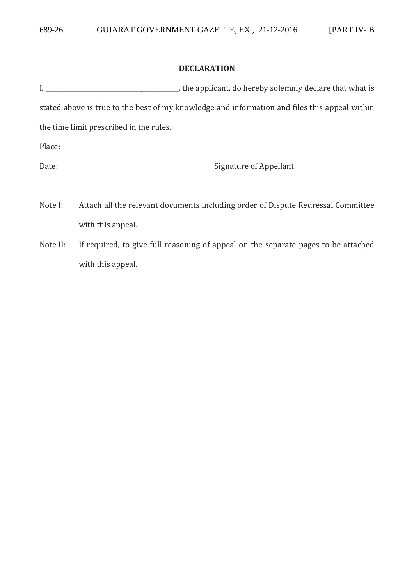## **DECLARATION**

|                                         | the applicant, do hereby solemnly declare that what is                                        |
|-----------------------------------------|-----------------------------------------------------------------------------------------------|
|                                         | stated above is true to the best of my knowledge and information and files this appeal within |
| the time limit prescribed in the rules. |                                                                                               |
| Place:                                  |                                                                                               |

Date: Signature of Appellant

- Note I: Attach all the relevant documents including order of Dispute Redressal Committee with this appeal.
- Note II: If required, to give full reasoning of appeal on the separate pages to be attached with this appeal.